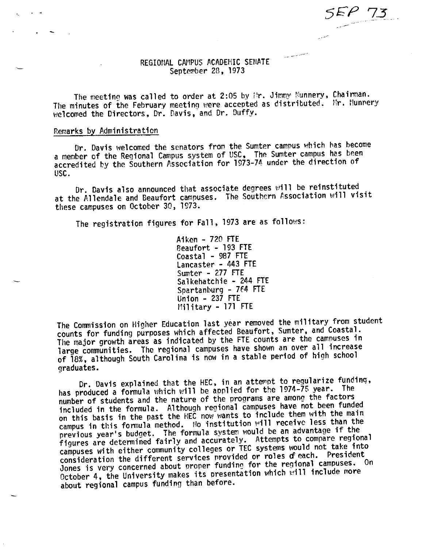والمستعرض والمستند التنازل

# REGIONAL CAMPUS ACADEMIC SENATE September 28, 1973

The meeting was called to order at 2:05 by Pr. Jimmy Nunnery, Chairman. The minutes of the February meeting were accepted as distributed. Mr. Nunnery welcomed the Directors, Dr. Davis, and Dr. Duffy.

## Remarks by Administration

Dr. Davis welcomed the senators from the Sumter campus which has become a member of the Regional Campus system of USC, The Sumter campus has been accredited by the Southern Association for 1973-74 under the direction of USC.

Dr. Davis also announced that associate degrees will be reinstituted at the Allendale and Beaufort campuses. The Southern Association will visit these campuses on October 30, 1973.

The registration figures for Fall, 1973 are as follows:

Aiken - 720 FTE Beaufort - 193 FTE Coastal - 987 FTE Lancaster - 443 FTE Sumter - 277 FTE Salkehatchie - 244 FTE Spartanburg - 764 FTE Union  $-237$  FTE Military - 171 FTE

The Commission on Higher Education last year removed the military from student counts for funding purposes which affected Beaufort, Sumter, and Coastal. The major growth areas as indicated by the FTE counts are the campuses in large communities. The regional campuses have shown an over all increase of 18%, although South Carolina is now in a stable period of high school graduates.

Dr. Davis explained that the HEC, in an attempt to regularize funding, has produced a formula which will be applied for the 1974-75 year. The number of students and the nature of the programs are among the factors included in the formula. Although regional campuses have not been funded on this basis in the past the HEC now wants to include them with the main campus in this formula method. No institution will receive less than the previous year's budget. The formula system would be an advantage if the figures are determined fairly and accurately. Attempts to compare regional campuses with either community colleges or TEC systems would not take into consideration the different services provided or roles of each. President Jones is very concerned about proper funding for the regional campuses. On October 4, the University makes its presentation which will include more about regional campus funding than before.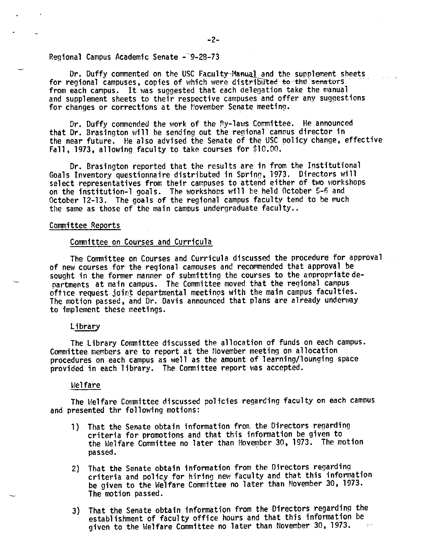## Regional Campus Academic Senate - 9-28-73

Dr. Duffy commented on the USC Faculty-Manual and the supplement sheets<br>for regional campuses, copies of which were distributed to the senators from each campus. It was suggested that each delegation take the manual and supplement sheets to their respective campuses and offer any suggestions for changes or corrections at the November Senate meeting.

Dr. Duffy commended the work of the By-laws Committee. He announced that Dr. Brasington will be sending out the regional camous director in the near future. He also advised the Senate of the USC oolicy change, effective Fall, 1973, allowing faculty to take courses for \$10.00.

Dr. Brasington reported that the results are in from the Institutional Goals Inventory questionnaire distributed in Spring, 1973. Directors will select representatives from their campuses to attend either of two workshops on the institution-1 goals. The workshops will be held October 5-6 and October 12-13. The goals of the regional campus faculty tend to be much the same as those of the main campus undergraduate faculty..

## Committee Reports

## Committee on Courses and Curricula

The Committee on Courses and Curricula discussed the procedure for approval of new courses for the regional campuses and recommended that approval be sought in the former manner of submitting the courses to the appropriate de-<br>partments at main campus. The Committee moved that the regional campus office request joirt departmental meetings with the main campus faculties. The motion passed, and Dr. Davis announced that plans are already underway to implement these meetings.

## Library

The Library Committee discussed the allocation of funds on each campus. Committee members are to report at the November meeting on allocation procedures on each campus as well as the amount of learning/lounging space provided in each library. The Committee report was accepted.

## Welfare

The Melfare Committee discussed policies regarding faculty on each campus and presented thr following motions:

- 1) That the Senate obtain information from. the Directors regarding criteria for promotions and that this information be given to the Welfare Committee no later than November 30, 1973. The motion passed.
- 2) That the Senate obtain information from the Directors regardin9 criteria and policy for hiring new faculty and that this information be given to the Welfare Committee no later than November 30, 1973. The motion passed.
- 3) That the Senate obtain information from the Directors regarding the establishment of faculty office hours and that this information be given to the Welfare Committee no later than November 30, 1973.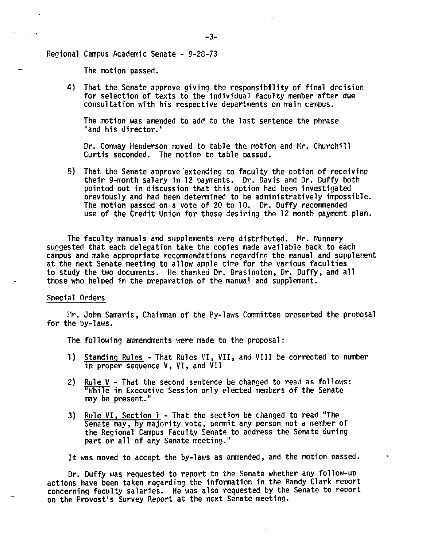Regional Campus Academic Senate - 9-28-73

The motion passed.

4) That the Senate approve giving the responsibility of final decision for selection of texts to the individual faculty member after due consultation with his respective departments on main campus.

The motion was amended to add to the last sentence the phrase ''and his director.''

Dr. Conway Henderson moved to table the motion and Mr. Churchill Curtis seconded. The motion to table passed.

5) That the Senate approve extending to faculty the option of receiving their 9-month salary in 12 payments. Dr. Davis and Dr. Duffy both pointed out in discussion that this option had been investigated previously and had been determined to be administratively impossible.<br>The motion passed on a vote of 20 to 10. Dr. Duffy recommended use of the Credit Union for those desiring the 12 month payment plan.

The faculty manuals and supplements were distributed. Mr. Nunnery suggested that each delegation take the copies made available back to each campus and make appropriate recommendations regarding the manual and supplement at the next Senate meeting to allow ample time for the various faculties to study the two documents. He thanked Dr. Brasington, Dr. Duffy, and all those who helped in the preparation of the manual and supplement.

## Special Orders

Mr. John Samaris, Chairman of the By-laws Committee presented the prooosal for the by-laws.

The following ammendments were made to the proposal:

- 1) Standing Rules That Rules VI, VII, and VIII be corrected to number in proper sequence V, VI, and VII
- 2) Rule  $V$  That the second sentence be changed to read as follows: "While in Executive Session only elected members of the Senate may be present."
- 3) Rule VI, Section 1 That the section be changed to read "The Senate may, by majority vote, permit any person not a member of the Regional Campus Faculty Senate to address the Senate during part or all of any Senate meeting."

It was moved to accept the by-laws as ammended, and the motion passed.

Dr. Duffy was requested to report to the Senate whether any follow-up actions have been taken regarding the information in the Randy Clark report concerning faculty salaries. He was also requested by the Senate to report on the Provost's Survey Report at the next Senate meeting.

-3-